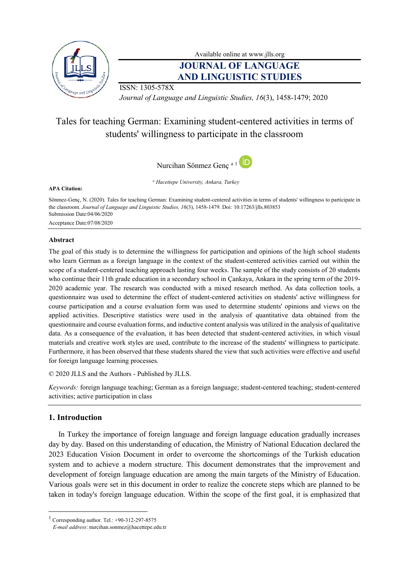

Available online at [www.jlls.org](http://www.jlls.org/)

# **JOURNAL OF LANGUAGE AND LINGUISTIC STUDIES**

ISSN: 1305-578X

*Journal of Language and Linguistic Studies, 16*(3), 1458-1479; 2020

# Tales for teaching German: Examining student-centered activities in terms of students' willingness to participate in the classroom

Nurcihan Sönmez Genç a 1

**APA Citation:**

*<sup>a</sup> Hacettepe University, Ankara, Turkey*

Sönmez-Genç, N. (2020). Tales for teaching German: Examining student-centered activities in terms of students' willingness to participate in the classroom. *Journal of Language and Linguistic Studies, 16*(3), 1458-1479. Doi: 10.17263/jlls.803853 Submission Date:04/06/2020 Acceptance Date:07/08/2020

# **Abstract**

The goal of this study is to determine the willingness for participation and opinions of the high school students who learn German as a foreign language in the context of the student-centered activities carried out within the scope of a student-centered teaching approach lasting four weeks. The sample of the study consists of 20 students who continue their 11th grade education in a secondary school in Çankaya, Ankara in the spring term of the 2019-2020 academic year. The research was conducted with a mixed research method. As data collection tools, a questionnaire was used to determine the effect of student-centered activities on students' active willingness for course participation and a course evaluation form was used to determine students' opinions and views on the applied activities. Descriptive statistics were used in the analysis of quantitative data obtained from the questionnaire and course evaluation forms, and inductive content analysis was utilized in the analysis of qualitative data. As a consequence of the evaluation, it has been detected that student-centered activities, in which visual materials and creative work styles are used, contribute to the increase of the students' willingness to participate. Furthermore, it has been observed that these students shared the view that such activities were effective and useful for foreign language learning processes.

© 2020 JLLS and the Authors - Published by JLLS.

*Keywords:* foreign language teaching; German as a foreign language; student-centered teaching; student-centered activities; active participation in class

# **1. Introduction**

 $\overline{a}$ 

In Turkey the importance of foreign language and foreign language education gradually increases day by day. Based on this understanding of education, the Ministry of National Education declared the 2023 Education Vision Document in order to overcome the shortcomings of the Turkish education system and to achieve a modern structure. This document demonstrates that the improvement and development of foreign language education are among the main targets of the Ministry of Education. Various goals were set in this document in order to realize the concrete steps which are planned to be taken in today's foreign language education. Within the scope of the first goal, it is emphasized that

<sup>&</sup>lt;sup>1</sup> Corresponding author. Tel.:  $+90-312-297-8575$ 

*E-mail address*: nurcihan.sonmez@hacettepe.edu.tr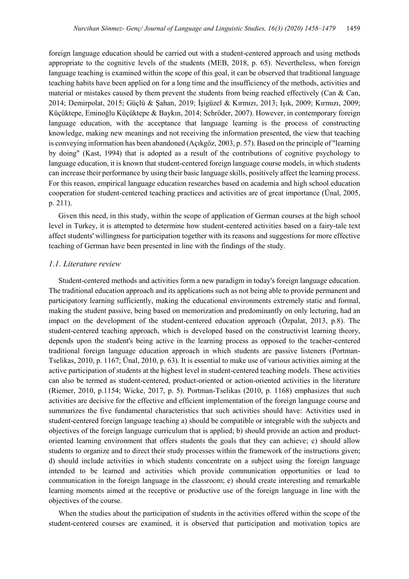foreign language education should be carried out with a student-centered approach and using methods appropriate to the cognitive levels of the students (MEB, 2018, p. 65). Nevertheless, when foreign language teaching is examined within the scope of this goal, it can be observed that traditional language teaching habits have been applied on for a long time and the insufficiency of the methods, activities and material or mistakes caused by them prevent the students from being reached effectively (Can  $\&$  Can, 2014; Demirpolat, 2015; Güçlü & Şahan, 2019; İşigüzel & Kırmızı, 2013; Işık, 2009; Kırmızı, 2009; Küçüktepe, Eminoğlu Küçüktepe & Baykın, 2014; Schröder, 2007). However, in contemporary foreign language education, with the acceptance that language learning is the process of constructing knowledge, making new meanings and not receiving the information presented, the view that teaching is conveying information has been abandoned (Açıkgöz, 2003, p. 57). Based on the principle of "learning by doing" (Kast, 1994) that is adopted as a result of the contributions of cognitive psychology to language education, it is known that student-centered foreign language course models, in which students can increase their performance by using their basic language skills, positively affect the learning process. For this reason, empirical language education researches based on academia and high school education cooperation for student-centered teaching practices and activities are of great importance (Ünal, 2005, p. 211).

Given this need, in this study, within the scope of application of German courses at the high school level in Turkey, it is attempted to determine how student-centered activities based on a fairy-tale text affect students' willingness for participation together with its reasons and suggestions for more effective teaching of German have been presented in line with the findings of the study.

#### *1.1. Literature review*

Student-centered methods and activities form a new paradigm in today's foreign language education. The traditional education approach and its applications such as not being able to provide permanent and participatory learning sufficiently, making the educational environments extremely static and formal, making the student passive, being based on memorization and predominantly on only lecturing, had an impact on the development of the student-centered education approach (Özpalat, 2013, p.8). The student-centered teaching approach, which is developed based on the constructivist learning theory, depends upon the student's being active in the learning process as opposed to the teacher-centered traditional foreign language education approach in which students are passive listeners (Portman-Tselikas, 2010, p. 1167; Ünal, 2010, p. 63). It is essential to make use of various activities aiming at the active participation of students at the highest level in student-centered teaching models. These activities can also be termed as student-centered, product-oriented or action-oriented activities in the literature (Riemer, 2010, p.1154; Wicke, 2017, p. 5). Portman-Tselikas (2010, p. 1168) emphasizes that such activities are decisive for the effective and efficient implementation of the foreign language course and summarizes the five fundamental characteristics that such activities should have: Activities used in student-centered foreign language teaching a) should be compatible or integrable with the subjects and objectives of the foreign language curriculum that is applied; b) should provide an action and productoriented learning environment that offers students the goals that they can achieve; c) should allow students to organize and to direct their study processes within the framework of the instructions given; d) should include activities in which students concentrate on a subject using the foreign language intended to be learned and activities which provide communication opportunities or lead to communication in the foreign language in the classroom; e) should create interesting and remarkable learning moments aimed at the receptive or productive use of the foreign language in line with the objectives of the course.

When the studies about the participation of students in the activities offered within the scope of the student-centered courses are examined, it is observed that participation and motivation topics are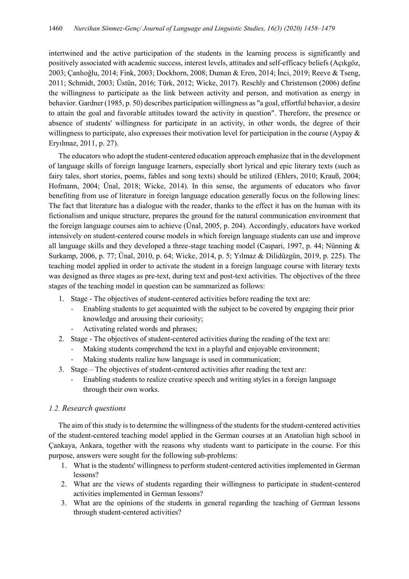intertwined and the active participation of the students in the learning process is significantly and positively associated with academic success, interest levels, attitudes and self-efficacy beliefs (Açıkgöz, 2003; Çanlıoğlu, 2014; Fink, 2003; Dockhorn, 2008; Duman & Eren, 2014; İnci, 2019; Reeve & Tseng, 2011; Schmidt, 2003; Üstün, 2016; Türk, 2012; Wicke, 2017). Reschly and Christenson (2006) define the willingness to participate as the link between activity and person, and motivation as energy in behavior. Gardner (1985, p. 50) describes participation willingness as "a goal, effortful behavior, a desire to attain the goal and favorable attitudes toward the activity in question". Therefore, the presence or absence of students' willingness for participate in an activity, in other words, the degree of their willingness to participate, also expresses their motivation level for participation in the course (Aypay & Eryılmaz, 2011, p. 27).

The educators who adopt the student-centered education approach emphasize that in the development of language skills of foreign language learners, especially short lyrical and epic literary texts (such as fairy tales, short stories, poems, fables and song texts) should be utilized (Ehlers, 2010; Krauß, 2004; Hofmann, 2004; Ünal, 2018; Wicke, 2014). In this sense, the arguments of educators who favor benefiting from use of literature in foreign language education generally focus on the following lines: The fact that literature has a dialogue with the reader, thanks to the effect it has on the human with its fictionalism and unique structure, prepares the ground for the natural communication environment that the foreign language courses aim to achieve (Ünal, 2005, p. 204). Accordingly, educators have worked intensively on student-centered course models in which foreign language students can use and improve all language skills and they developed a three-stage teaching model (Caspari, 1997, p. 44; Nünning & Surkamp, 2006, p. 77; Ünal, 2010, p. 64; Wicke, 2014, p. 5; Yılmaz & Dilidüzgün, 2019, p. 225). The teaching model applied in order to activate the student in a foreign language course with literary texts was designed as three stages as pre-text, during text and post-text activities. The objectives of the three stages of the teaching model in question can be summarized as follows:

- 1. Stage The objectives of student-centered activities before reading the text are:
	- Enabling students to get acquainted with the subject to be covered by engaging their prior knowledge and arousing their curiosity;
	- Activating related words and phrases;
- 2. Stage The objectives of student-centered activities during the reading of the text are:
	- Making students comprehend the text in a playful and enjoyable environment;
	- Making students realize how language is used in communication;
- 3. Stage The objectives of student-centered activities after reading the text are:
	- Enabling students to realize creative speech and writing styles in a foreign language through their own works.

# *1.2. Research questions*

The aim of this study is to determine the willingness of the students for the student-centered activities of the student-centered teaching model applied in the German courses at an Anatolian high school in Çankaya, Ankara, together with the reasons why students want to participate in the course. For this purpose, answers were sought for the following sub-problems:

- 1. What is the students' willingness to perform student-centered activities implemented in German lessons?
- 2. What are the views of students regarding their willingness to participate in student-centered activities implemented in German lessons?
- 3. What are the opinions of the students in general regarding the teaching of German lessons through student-centered activities?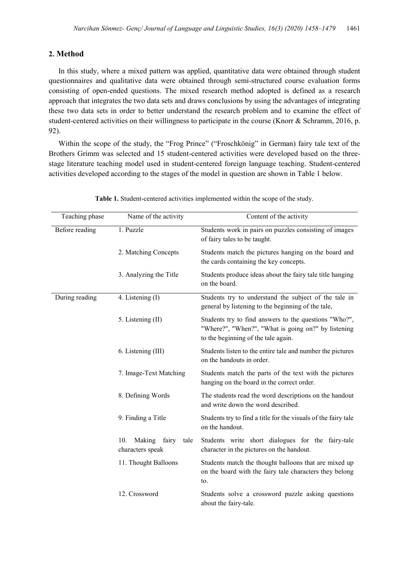# **2. Method**

In this study, where a mixed pattern was applied, quantitative data were obtained through student questionnaires and qualitative data were obtained through semi-structured course evaluation forms consisting of open-ended questions. The mixed research method adopted is defined as a research approach that integrates the two data sets and draws conclusions by using the advantages of integrating these two data sets in order to better understand the research problem and to examine the effect of student-centered activities on their willingness to participate in the course (Knorr & Schramm, 2016, p. 92).

Within the scope of the study, the "Frog Prince" ("Froschkönig" in German) fairy tale text of the Brothers Grimm was selected and 15 student-centered activities were developed based on the threestage literature teaching model used in student-centered foreign language teaching. Student-centered activities developed according to the stages of the model in question are shown in Table 1 below.

| Teaching phase | Name of the activity                               | Content of the activity                                                                                                                             |
|----------------|----------------------------------------------------|-----------------------------------------------------------------------------------------------------------------------------------------------------|
| Before reading | 1. Puzzle                                          | Students work in pairs on puzzles consisting of images<br>of fairy tales to be taught.                                                              |
|                | 2. Matching Concepts                               | Students match the pictures hanging on the board and<br>the cards containing the key concepts.                                                      |
|                | 3. Analyzing the Title                             | Students produce ideas about the fairy tale title hanging<br>on the board.                                                                          |
| During reading | 4. Listening (I)                                   | Students try to understand the subject of the tale in<br>general by listening to the beginning of the tale,                                         |
|                | 5. Listening (II)                                  | Students try to find answers to the questions "Who?",<br>"Where?", "When?", "What is going on?" by listening<br>to the beginning of the tale again. |
|                | 6. Listening (III)                                 | Students listen to the entire tale and number the pictures<br>on the handouts in order.                                                             |
|                | 7. Image-Text Matching                             | Students match the parts of the text with the pictures<br>hanging on the board in the correct order.                                                |
|                | 8. Defining Words                                  | The students read the word descriptions on the handout<br>and write down the word described.                                                        |
|                | 9. Finding a Title                                 | Students try to find a title for the visuals of the fairy tale<br>on the handout.                                                                   |
|                | Making<br>fairy<br>10.<br>tale<br>characters speak | Students write short dialogues for the fairy-tale<br>character in the pictures on the handout.                                                      |
|                | 11. Thought Balloons                               | Students match the thought balloons that are mixed up<br>on the board with the fairy tale characters they belong<br>to.                             |
|                | 12. Crossword                                      | Students solve a crossword puzzle asking questions<br>about the fairy-tale.                                                                         |

**Table 1.** Student-centered activities implemented within the scope of the study.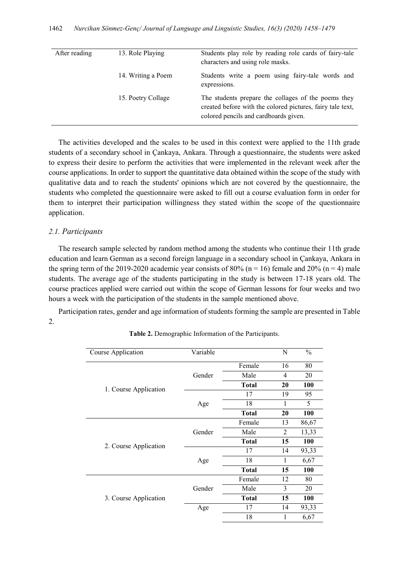| After reading | 13. Role Playing   | Students play role by reading role cards of fairy-tale<br>characters and using role masks.                                                                 |
|---------------|--------------------|------------------------------------------------------------------------------------------------------------------------------------------------------------|
|               | 14. Writing a Poem | Students write a poem using fairy-tale words and<br>expressions.                                                                                           |
|               | 15. Poetry Collage | The students prepare the collages of the poems they<br>created before with the colored pictures, fairy tale text,<br>colored pencils and cardboards given. |

The activities developed and the scales to be used in this context were applied to the 11th grade students of a secondary school in Çankaya, Ankara. Through a questionnaire, the students were asked to express their desire to perform the activities that were implemented in the relevant week after the course applications. In order to support the quantitative data obtained within the scope of the study with qualitative data and to reach the students' opinions which are not covered by the questionnaire, the students who completed the questionnaire were asked to fill out a course evaluation form in order for them to interpret their participation willingness they stated within the scope of the questionnaire application.

## *2.1. Participants*

The research sample selected by random method among the students who continue their 11th grade education and learn German as a second foreign language in a secondary school in Çankaya, Ankara in the spring term of the 2019-2020 academic year consists of 80% ( $n = 16$ ) female and 20% ( $n = 4$ ) male students. The average age of the students participating in the study is between 17-18 years old. The course practices applied were carried out within the scope of German lessons for four weeks and two hours a week with the participation of the students in the sample mentioned above.

Participation rates, gender and age information of students forming the sample are presented in Table 2.

| Course Application    | Variable                   |              | N  | $\frac{0}{0}$ |
|-----------------------|----------------------------|--------------|----|---------------|
|                       |                            | Female       | 16 | 80            |
|                       | Gender                     | Male         | 4  | 20            |
| 1. Course Application |                            | <b>Total</b> | 20 | <b>100</b>    |
|                       |                            | 17           | 19 | 95            |
|                       | Age                        | 18           | 1  | 5             |
|                       |                            | <b>Total</b> | 20 | <b>100</b>    |
|                       |                            | Female       | 13 | 86,67         |
| 2. Course Application | Gender                     | Male         | 2  | 13,33         |
|                       |                            | <b>Total</b> | 15 | <b>100</b>    |
|                       | 14<br>17<br>18<br>1<br>Age | 93,33        |    |               |
|                       |                            |              |    | 6,67          |
|                       |                            | <b>Total</b> | 15 | <b>100</b>    |
|                       |                            | Female       | 12 | 80            |
|                       | Gender                     | Male         | 3  | 20            |
| 3. Course Application |                            | <b>Total</b> | 15 | <b>100</b>    |
|                       | Age                        | 17           | 14 | 93,33         |
|                       |                            | 18           | 1  | 6,67          |

**Table 2.** Demographic Information of the Participants.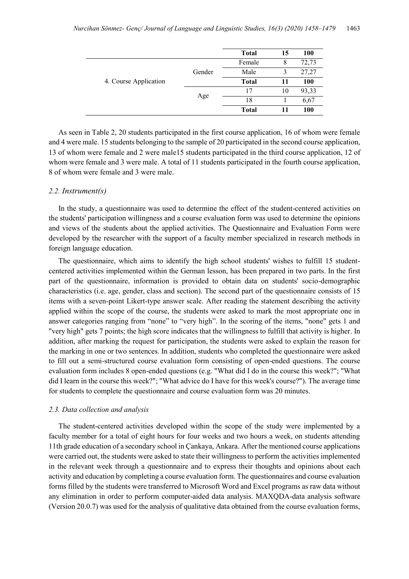|                       |        | <b>Total</b> | 15 | 100   |
|-----------------------|--------|--------------|----|-------|
|                       |        | Female       | 8  | 72,73 |
|                       | Gender | Male         | 3  | 27,27 |
| 4. Course Application |        | <b>Total</b> | 11 | 100   |
|                       |        | 17           | 10 | 93,33 |
|                       | Age    | 18           |    | 6,67  |
|                       |        | <b>Total</b> | 11 | 100   |

As seen in Table 2, 20 students participated in the first course application, 16 of whom were female and 4 were male. 15 students belonging to the sample of 20 participated in the second course application, 13 of whom were female and 2 were male15 students participated in the third course application, 12 of whom were female and 3 were male. A total of 11 students participated in the fourth course application, 8 of whom were female and 3 were male.

#### *2.2. Instrument(s)*

In the study, a questionnaire was used to determine the effect of the student-centered activities on the students' participation willingness and a course evaluation form was used to determine the opinions and views of the students about the applied activities. The Questionnaire and Evaluation Form were developed by the researcher with the support of a faculty member specialized in research methods in foreign language education.

The questionnaire, which aims to identify the high school students' wishes to fulfill 15 studentcentered activities implemented within the German lesson, has been prepared in two parts. In the first part of the questionnaire, information is provided to obtain data on students' socio-demographic characteristics (i.e. age, gender, class and section). The second part of the questionnaire consists of 15 items with a seven-point Likert-type answer scale. After reading the statement describing the activity applied within the scope of the course, the students were asked to mark the most appropriate one in answer categories ranging from "none" to "very high". In the scoring of the items, "none" gets 1 and "very high" gets 7 points; the high score indicates that the willingness to fulfill that activity is higher. In addition, after marking the request for participation, the students were asked to explain the reason for the marking in one or two sentences. In addition, students who completed the questionnaire were asked to fill out a semi-structured course evaluation form consisting of open-ended questions. The course evaluation form includes 8 open-ended questions (e.g. "What did I do in the course this week?"; "What did I learn in the course this week?"; "What advice do I have for this week's course?"). The average time for students to complete the questionnaire and course evaluation form was 20 minutes.

#### *2.3. Data collection and analysis*

The student-centered activities developed within the scope of the study were implemented by a faculty member for a total of eight hours for four weeks and two hours a week, on students attending 11th grade education of a secondary school in Çankaya, Ankara. After the mentioned course applications were carried out, the students were asked to state their willingness to perform the activities implemented in the relevant week through a questionnaire and to express their thoughts and opinions about each activity and education by completing a course evaluation form. The questionnaires and course evaluation forms filled by the students were transferred to Microsoft Word and Excel programs as raw data without any elimination in order to perform computer-aided data analysis. MAXQDA-data analysis software (Version 20.0.7) was used for the analysis of qualitative data obtained from the course evaluation forms,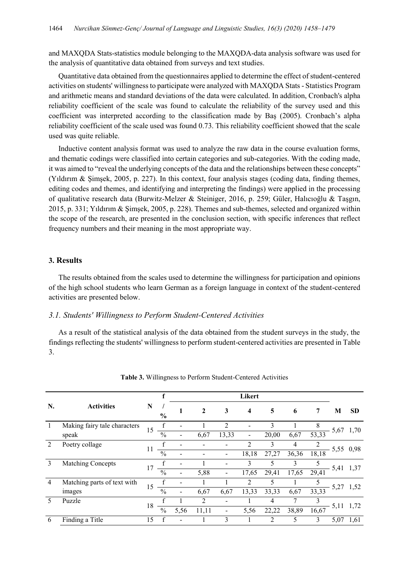and MAXQDA Stats-statistics module belonging to the MAXQDA-data analysis software was used for the analysis of quantitative data obtained from surveys and text studies.

Quantitative data obtained from the questionnaires applied to determine the effect of student-centered activities on students' willingness to participate were analyzed with MAXQDA Stats - Statistics Program and arithmetic means and standard deviations of the data were calculated. In addition, Cronbach's alpha reliability coefficient of the scale was found to calculate the reliability of the survey used and this coefficient was interpreted according to the classification made by Baş (2005). Cronbach's alpha reliability coefficient of the scale used was found 0.73. This reliability coefficient showed that the scale used was quite reliable.

Inductive content analysis format was used to analyze the raw data in the course evaluation forms, and thematic codings were classified into certain categories and sub-categories. With the coding made, it was aimed to "reveal the underlying concepts of the data and the relationships between these concepts" (Yıldırım & Şimşek, 2005, p. 227). In this context, four analysis stages (coding data, finding themes, editing codes and themes, and identifying and interpreting the findings) were applied in the processing of qualitative research data (Burwitz-Melzer & Steiniger, 2016, p. 259; Güler, Halıcıoğlu & Taşgın, 2015, p. 331; Yıldırım & Şimşek, 2005, p. 228). Themes and sub-themes, selected and organized within the scope of the research, are presented in the conclusion section, with specific inferences that reflect frequency numbers and their meaning in the most appropriate way.

#### **3. Results**

The results obtained from the scales used to determine the willingness for participation and opinions of the high school students who learn German as a foreign language in context of the student-centered activities are presented below.

# *3.1. Students' Willingness to Perform Student-Centered Activities*

As a result of the statistical analysis of the data obtained from the student surveys in the study, the findings reflecting the students' willingness to perform student-centered activities are presented in Table 3.

|                |                              |    |               |      |                |                          | Likert                  |                |       |       |      |           |
|----------------|------------------------------|----|---------------|------|----------------|--------------------------|-------------------------|----------------|-------|-------|------|-----------|
| N.             | <b>Activities</b>            | N  | $\frac{0}{0}$ |      | $\mathbf{2}$   | 3                        | $\overline{\mathbf{4}}$ | 5              | 6     | 7     | M    | <b>SD</b> |
| $\mathbf{I}$   | Making fairy tale characters | 15 |               |      |                | 2                        |                         | 3              |       | 8     |      |           |
|                | speak                        |    | $\frac{0}{0}$ | -    | 6,67           | 13,33                    | ۰                       | 20,00          | 6,67  | 53,33 | 5,67 | 1,70      |
| 2              | Poetry collage               | 11 |               |      |                |                          | 2                       | 3              | 4     | 2     |      | 5,55 0,98 |
|                |                              |    | $\frac{0}{0}$ |      |                |                          | 18,18                   | 27,27          | 36,36 | 18,18 |      |           |
| 3              | <b>Matching Concepts</b>     | 17 |               |      |                |                          | 3                       | 5              | 3     | 5     |      | 5,41 1,37 |
|                |                              |    | $\frac{0}{0}$ | -    | 5,88           | $\overline{\phantom{a}}$ | 17,65                   | 29,41          | 17,65 | 29,41 |      |           |
| $\overline{4}$ | Matching parts of text with  | 15 |               |      |                |                          | 2                       | 5              |       | 5     |      | 5,27 1,52 |
|                | images                       |    | $\frac{0}{0}$ |      | 6,67           | 6,67                     | 13,33                   | 33,33          | 6,67  | 33,33 |      |           |
| $\overline{5}$ | Puzzle                       | 18 |               |      | $\mathfrak{D}$ |                          |                         | 4              |       | 3     |      | 1,72      |
|                |                              |    | $\frac{0}{0}$ | 5,56 | 11,11          | $\overline{\phantom{0}}$ | 5,56                    | 22,22          | 38,89 | 16,67 | 5,11 |           |
| 6              | Finding a Title              | 15 |               |      |                | 3                        |                         | $\overline{c}$ | 5     | 3     | 5,07 | 1,61      |

**Table 3.** Willingness to Perform Student-Centered Activities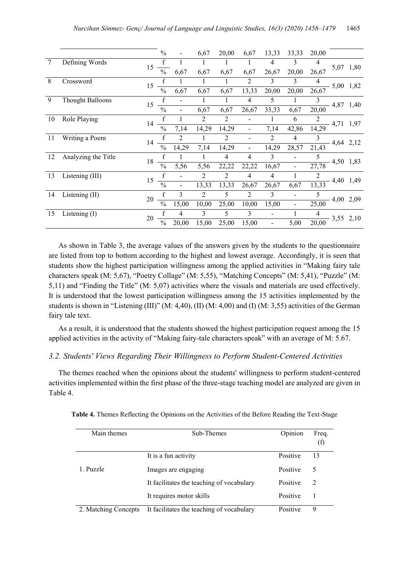|        |                         |        | $\frac{0}{0}$ |                              | 6,67  | 20,00          | 6,67                         | 13,33                    | 33,33                    | 20,00 |           |           |
|--------|-------------------------|--------|---------------|------------------------------|-------|----------------|------------------------------|--------------------------|--------------------------|-------|-----------|-----------|
| $\tau$ | Defining Words          |        | f             |                              |       |                |                              | 4                        | 3                        | 4     |           |           |
|        |                         | 15     | $\frac{0}{0}$ | 6,67                         | 6,67  | 6,67           | 6,67                         | 26,67                    | 20,00                    | 26,67 |           | 5,07 1,80 |
| 8      | Crossword               | 15     |               |                              |       |                | 2                            | 3                        | 3                        | 4     |           | 5,00 1,82 |
|        |                         |        | $\frac{0}{0}$ | 6,67                         | 6,67  | 6,67           | 13,33                        | 20,00                    | 20,00                    | 26,67 |           |           |
| 9      | <b>Thought Balloons</b> | 15     |               |                              |       |                | 4                            | 5                        |                          | 3     |           | 4,87 1,40 |
|        |                         |        | $\frac{0}{0}$ | -                            | 6,67  | 6,67           | 26,67                        | 33,33                    | 6,67                     | 20,00 |           |           |
| 10     | Role Playing            | 14     |               |                              | 2     | 2              |                              |                          | 6                        | 2     | 4,71 1,97 |           |
|        |                         |        | $\frac{0}{0}$ | 7,14                         | 14,29 | 14,29          | $\qquad \qquad \blacksquare$ | 7,14                     | 42,86                    | 14,29 |           |           |
| 11     | Writing a Poem          | 14     |               | 2                            |       | 2              | $\qquad \qquad \blacksquare$ | 2                        | 4                        | 3     |           | 4,64 2,12 |
|        |                         |        | $\frac{0}{0}$ | 14,29                        | 7,14  | 14,29          | $\overline{\phantom{0}}$     | 14,29                    | 28,57                    | 21,43 |           |           |
| 12     | Analyzing the Title     | 18     |               |                              |       | $\overline{4}$ | $\overline{4}$               | 3                        |                          | 5     | 4,50 1,83 |           |
|        |                         |        | $\frac{0}{0}$ | 5,56                         | 5,56  | 22,22          | 22,22                        | 16,67                    |                          | 27,78 |           |           |
| 13     | Listening (III)         | 15     |               |                              | 2     | $\overline{2}$ | 4                            | 4                        |                          |       |           | 4,40 1,49 |
|        |                         |        | $\frac{0}{0}$ | $\qquad \qquad \blacksquare$ | 13,33 | 13,33          | 26,67                        | 26,67                    | 6,67                     | 13,33 |           |           |
| 14     | Listening (II)          | 20     | f             | 3                            | 2     | 5              | $\overline{2}$               | 3                        |                          | 5     |           | 4,00 2,09 |
|        |                         |        | $\frac{0}{0}$ | 15,00                        | 10,00 | 25,00          | 10,00                        | 15,00                    | $\overline{\phantom{a}}$ | 25,00 |           |           |
| 15     | Listening $(I)$         |        | f             | 4                            | 3     | 5              | 3                            |                          |                          | 4     |           | 3,55 2,10 |
|        |                         | $20\,$ | $\frac{0}{0}$ | 20,00                        | 15,00 | 25,00          | 15,00                        | $\overline{\phantom{0}}$ | 5,00                     | 20,00 |           |           |

As shown in Table 3, the average values of the answers given by the students to the questionnaire are listed from top to bottom according to the highest and lowest average. Accordingly, it is seen that students show the highest participation willingness among the applied activities in "Making fairy tale characters speak (M: 5,67), "Poetry Collage" (M: 5,55), "Matching Concepts" (M: 5,41), "Puzzle" (M: 5,11) and "Finding the Title" (M: 5,07) activities where the visuals and materials are used effectively. It is understood that the lowest participation willingness among the 15 activities implemented by the students is shown in "Listening (III)" (M: 4,40), (II) (M: 4,00) and (I) (M: 3,55) activities of the German fairy tale text.

As a result, it is understood that the students showed the highest participation request among the 15 applied activities in the activity of "Making fairy-tale characters speak" with an average of M: 5.67.

# *3.2. Students' Views Regarding Their Willingness to Perform Student-Centered Activities*

The themes reached when the opinions about the students' willingness to perform student-centered activities implemented within the first phase of the three-stage teaching model are analyzed are given in Table 4.

| Main themes          | Sub-Themes                                | Opinion  | Freq.<br>(f) |
|----------------------|-------------------------------------------|----------|--------------|
|                      | It is a fun activity                      | Positive | 13           |
| 1. Puzzle            | Images are engaging                       | Positive | 5            |
|                      | It facilitates the teaching of vocabulary | Positive | 2            |
|                      | It requires motor skills                  | Positive |              |
| 2. Matching Concepts | It facilitates the teaching of vocabulary | Positive | 9            |

**Table 4.** Themes Reflecting the Opinions on the Activities of the Before Reading the Text-Stage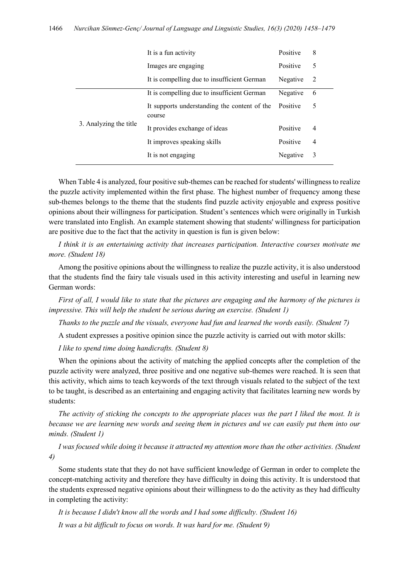|                        | It is a fun activity                                   | Positive | 8 |
|------------------------|--------------------------------------------------------|----------|---|
|                        | Images are engaging                                    | Positive | 5 |
|                        | It is compelling due to insufficient German            | Negative | 2 |
|                        | It is compelling due to insufficient German            | Negative | 6 |
| 3. Analyzing the title | It supports understanding the content of the<br>course | Positive | 5 |
|                        | It provides exchange of ideas                          | Positive | 4 |
|                        | It improves speaking skills                            | Positive | 4 |
|                        | It is not engaging                                     | Negative | 3 |

When Table 4 is analyzed, four positive sub-themes can be reached for students' willingness to realize the puzzle activity implemented within the first phase. The highest number of frequency among these sub-themes belongs to the theme that the students find puzzle activity enjoyable and express positive opinions about their willingness for participation. Student's sentences which were originally in Turkish were translated into English. An example statement showing that students' willingness for participation are positive due to the fact that the activity in question is fun is given below:

*I think it is an entertaining activity that increases participation. Interactive courses motivate me more. (Student 18)* 

Among the positive opinions about the willingness to realize the puzzle activity, it is also understood that the students find the fairy tale visuals used in this activity interesting and useful in learning new German words:

*First of all, I would like to state that the pictures are engaging and the harmony of the pictures is impressive. This will help the student be serious during an exercise. (Student 1)*

*Thanks to the puzzle and the visuals, everyone had fun and learned the words easily. (Student 7)*

A student expresses a positive opinion since the puzzle activity is carried out with motor skills:

*I like to spend time doing handicrafts. (Student 8)*

When the opinions about the activity of matching the applied concepts after the completion of the puzzle activity were analyzed, three positive and one negative sub-themes were reached. It is seen that this activity, which aims to teach keywords of the text through visuals related to the subject of the text to be taught, is described as an entertaining and engaging activity that facilitates learning new words by students:

*The activity of sticking the concepts to the appropriate places was the part I liked the most. It is because we are learning new words and seeing them in pictures and we can easily put them into our minds. (Student 1)*

*I was focused while doing it because it attracted my attention more than the other activities. (Student 4)*

Some students state that they do not have sufficient knowledge of German in order to complete the concept-matching activity and therefore they have difficulty in doing this activity. It is understood that the students expressed negative opinions about their willingness to do the activity as they had difficulty in completing the activity:

*It is because I didn't know all the words and I had some difficulty. (Student 16) It was a bit difficult to focus on words. It was hard for me. (Student 9)*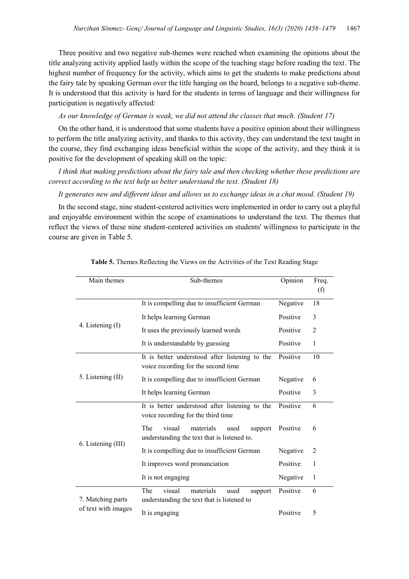Three positive and two negative sub-themes were reached when examining the opinions about the title analyzing activity applied lastly within the scope of the teaching stage before reading the text. The highest number of frequency for the activity, which aims to get the students to make predictions about the fairy tale by speaking German over the title hanging on the board, belongs to a negative sub-theme. It is understood that this activity is hard for the students in terms of language and their willingness for participation is negatively affected:

#### *As our knowledge of German is weak, we did not attend the classes that much. (Student 17)*

On the other hand, it is understood that some students have a positive opinion about their willingness to perform the title analyzing activity, and thanks to this activity, they can understand the text taught in the course, they find exchanging ideas beneficial within the scope of the activity, and they think it is positive for the development of speaking skill on the topic:

*I think that making predictions about the fairy tale and then checking whether these predictions are correct according to the text help us better understand the text. (Student 18)*

*It generates new and different ideas and allows us to exchange ideas in a chat mood. (Student 19)*

In the second stage, nine student-centered activities were implemented in order to carry out a playful and enjoyable environment within the scope of examinations to understand the text. The themes that reflect the views of these nine student-centered activities on students' willingness to participate in the course are given in Table 5.

| Main themes         | Sub-themes                                                                                   | Opinion  | Freq.          |
|---------------------|----------------------------------------------------------------------------------------------|----------|----------------|
|                     |                                                                                              |          | (f)            |
|                     | It is compelling due to insufficient German                                                  | Negative | 18             |
|                     | It helps learning German                                                                     | Positive | 3              |
| 4. Listening (I)    | It uses the previously learned words                                                         | Positive | $\overline{2}$ |
|                     | It is understandable by guessing                                                             | Positive | 1              |
|                     | It is better understood after listening to the<br>voice recording for the second time        | Positive | 10             |
| 5. Listening (II)   | It is compelling due to insufficient German                                                  | Negative | 6              |
|                     | It helps learning German                                                                     | Positive | 3              |
|                     | It is better understood after listening to the<br>voice recording for the third time         | Positive | 6              |
|                     | visual<br>The<br>materials<br>used<br>support<br>understanding the text that is listened to. | Positive | 6              |
| 6. Listening (III)  | It is compelling due to insufficient German                                                  | Negative | 2              |
|                     | It improves word pronunciation                                                               | Positive | 1              |
|                     | It is not engaging                                                                           | Negative | 1              |
| 7. Matching parts   | visual<br>The<br>materials<br>used<br>support<br>understanding the text that is listened to  | Positive | 6              |
| of text with images | It is engaging                                                                               | Positive | 5              |

**Table 5.** Themes Reflecting the Views on the Activities of the Text Reading Stage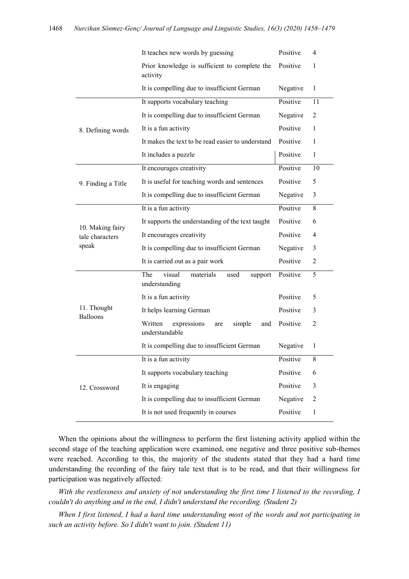|                                     | It teaches new words by guessing                                 | Positive | 4              |
|-------------------------------------|------------------------------------------------------------------|----------|----------------|
|                                     | Prior knowledge is sufficient to complete the<br>activity        | Positive | 1              |
|                                     | It is compelling due to insufficient German                      | Negative | 1              |
|                                     | It supports vocabulary teaching                                  | Positive | 11             |
|                                     | It is compelling due to insufficient German                      | Negative | $\overline{2}$ |
| 8. Defining words                   | It is a fun activity                                             | Positive | $\mathbf{1}$   |
|                                     | It makes the text to be read easier to understand                | Positive | 1              |
|                                     | It includes a puzzle                                             | Positive | $\mathbf{1}$   |
|                                     | It encourages creativity                                         | Positive | 10             |
| 9. Finding a Title                  | It is useful for teaching words and sentences                    | Positive | 5              |
|                                     | It is compelling due to insufficient German                      | Negative | 3              |
|                                     | It is a fun activity                                             | Positive | 8              |
| 10. Making fairy<br>tale characters | It supports the understanding of the text taught                 | Positive | 6              |
|                                     | It encourages creativity                                         | Positive | 4              |
| speak                               | It is compelling due to insufficient German                      | Negative | 3              |
|                                     | It is carried out as a pair work                                 | Positive | $\overline{2}$ |
|                                     | The<br>visual<br>materials<br>used<br>support<br>understanding   | Positive | 5              |
|                                     | It is a fun activity                                             | Positive | 5              |
| 11. Thought<br><b>Balloons</b>      | It helps learning German                                         | Positive | 3              |
|                                     | Written<br>expressions<br>simple<br>and<br>are<br>understandable | Positive | 2              |
|                                     | It is compelling due to insufficient German                      | Negative | 1              |
|                                     | It is a fun activity                                             | Positive | 8              |
|                                     | It supports vocabulary teaching                                  | Positive | 6              |
| 12. Crossword                       | It is engaging                                                   | Positive | 3              |
|                                     | It is compelling due to insufficient German                      | Negative | $\overline{2}$ |
|                                     | It is not used frequently in courses                             | Positive | 1              |

When the opinions about the willingness to perform the first listening activity applied within the second stage of the teaching application were examined, one negative and three positive sub-themes were reached. According to this, the majority of the students stated that they had a hard time understanding the recording of the fairy tale text that is to be read, and that their willingness for participation was negatively affected:

*With the restlessness and anxiety of not understanding the first time I listened to the recording, I couldn't do anything and in the end, I didn't understand the recording. (Student 2)*

*When I first listened, I had a hard time understanding most of the words and not participating in such an activity before. So I didn't want to join. (Student 11)*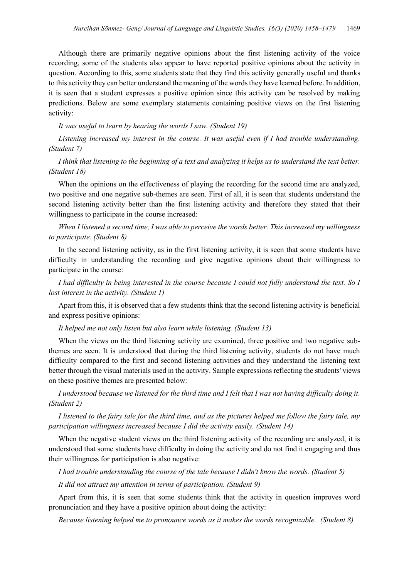Although there are primarily negative opinions about the first listening activity of the voice recording, some of the students also appear to have reported positive opinions about the activity in question. According to this, some students state that they find this activity generally useful and thanks to this activity they can better understand the meaning of the words they have learned before. In addition, it is seen that a student expresses a positive opinion since this activity can be resolved by making predictions. Below are some exemplary statements containing positive views on the first listening activity:

*It was useful to learn by hearing the words I saw. (Student 19)*

*Listening increased my interest in the course. It was useful even if I had trouble understanding. (Student 7)*

# *I think that listening to the beginning of a text and analyzing it helps us to understand the text better. (Student 18)*

When the opinions on the effectiveness of playing the recording for the second time are analyzed, two positive and one negative sub-themes are seen. First of all, it is seen that students understand the second listening activity better than the first listening activity and therefore they stated that their willingness to participate in the course increased:

# *When I listened a second time, I was able to perceive the words better. This increased my willingness to participate. (Student 8)*

In the second listening activity, as in the first listening activity, it is seen that some students have difficulty in understanding the recording and give negative opinions about their willingness to participate in the course:

*I had difficulty in being interested in the course because I could not fully understand the text. So I lost interest in the activity. (Student 1)*

Apart from this, it is observed that a few students think that the second listening activity is beneficial and express positive opinions:

#### *It helped me not only listen but also learn while listening. (Student 13)*

When the views on the third listening activity are examined, three positive and two negative subthemes are seen. It is understood that during the third listening activity, students do not have much difficulty compared to the first and second listening activities and they understand the listening text better through the visual materials used in the activity. Sample expressions reflecting the students' views on these positive themes are presented below:

*I understood because we listened for the third time and I felt that I was not having difficulty doing it. (Student 2)*

*I listened to the fairy tale for the third time, and as the pictures helped me follow the fairy tale, my participation willingness increased because I did the activity easily. (Student 14)*

When the negative student views on the third listening activity of the recording are analyzed, it is understood that some students have difficulty in doing the activity and do not find it engaging and thus their willingness for participation is also negative:

*I had trouble understanding the course of the tale because I didn't know the words. (Student 5)*

*It did not attract my attention in terms of participation. (Student 9)*

Apart from this, it is seen that some students think that the activity in question improves word pronunciation and they have a positive opinion about doing the activity:

*Because listening helped me to pronounce words as it makes the words recognizable. (Student 8)*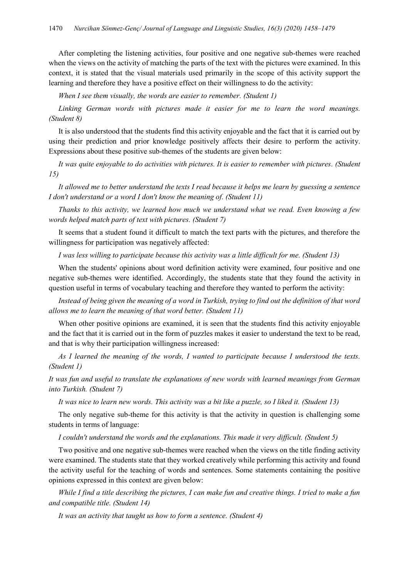After completing the listening activities, four positive and one negative sub-themes were reached when the views on the activity of matching the parts of the text with the pictures were examined. In this context, it is stated that the visual materials used primarily in the scope of this activity support the learning and therefore they have a positive effect on their willingness to do the activity:

*When I see them visually, the words are easier to remember. (Student 1)*

Linking German words with pictures made it easier for me to learn the word meanings. *(Student 8)*

It is also understood that the students find this activity enjoyable and the fact that it is carried out by using their prediction and prior knowledge positively affects their desire to perform the activity. Expressions about these positive sub-themes of the students are given below:

*It was quite enjoyable to do activities with pictures. It is easier to remember with pictures. (Student 15)*

*It allowed me to better understand the texts I read because it helps me learn by guessing a sentence I don't understand or a word I don't know the meaning of. (Student 11)*

*Thanks to this activity, we learned how much we understand what we read. Even knowing a few words helped match parts of text with pictures. (Student 7)*

It seems that a student found it difficult to match the text parts with the pictures, and therefore the willingness for participation was negatively affected:

*I was less willing to participate because this activity was a little difficult for me. (Student 13)*

When the students' opinions about word definition activity were examined, four positive and one negative sub-themes were identified. Accordingly, the students state that they found the activity in question useful in terms of vocabulary teaching and therefore they wanted to perform the activity:

*Instead of being given the meaning of a word in Turkish, trying to find out the definition of that word allows me to learn the meaning of that word better. (Student 11)*

When other positive opinions are examined, it is seen that the students find this activity enjoyable and the fact that it is carried out in the form of puzzles makes it easier to understand the text to be read, and that is why their participation willingness increased:

*As I learned the meaning of the words, I wanted to participate because I understood the texts. (Student 1)*

*It was fun and useful to translate the explanations of new words with learned meanings from German into Turkish. (Student 7)*

*It was nice to learn new words. This activity was a bit like a puzzle, so I liked it. (Student 13)*

The only negative sub-theme for this activity is that the activity in question is challenging some students in terms of language:

*I couldn't understand the words and the explanations. This made it very difficult. (Student 5)*

Two positive and one negative sub-themes were reached when the views on the title finding activity were examined. The students state that they worked creatively while performing this activity and found the activity useful for the teaching of words and sentences. Some statements containing the positive opinions expressed in this context are given below:

*While I find a title describing the pictures, I can make fun and creative things. I tried to make a fun and compatible title. (Student 14)*

*It was an activity that taught us how to form a sentence. (Student 4)*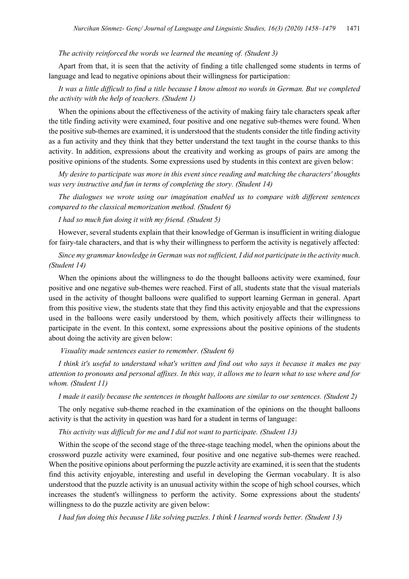#### *The activity reinforced the words we learned the meaning of. (Student 3)*

Apart from that, it is seen that the activity of finding a title challenged some students in terms of language and lead to negative opinions about their willingness for participation:

# *It was a little difficult to find a title because I know almost no words in German. But we completed the activity with the help of teachers. (Student 1)*

When the opinions about the effectiveness of the activity of making fairy tale characters speak after the title finding activity were examined, four positive and one negative sub-themes were found. When the positive sub-themes are examined, it is understood that the students consider the title finding activity as a fun activity and they think that they better understand the text taught in the course thanks to this activity. In addition, expressions about the creativity and working as groups of pairs are among the positive opinions of the students. Some expressions used by students in this context are given below:

*My desire to participate was more in this event since reading and matching the characters' thoughts was very instructive and fun in terms of completing the story. (Student 14)*

*The dialogues we wrote using our imagination enabled us to compare with different sentences compared to the classical memorization method. (Student 6)*

*I had so much fun doing it with my friend. (Student 5)*

However, several students explain that their knowledge of German is insufficient in writing dialogue for fairy-tale characters, and that is why their willingness to perform the activity is negatively affected:

*Since my grammar knowledge in German was not sufficient, I did not participate in the activity much. (Student 14)*

When the opinions about the willingness to do the thought balloons activity were examined, four positive and one negative sub-themes were reached. First of all, students state that the visual materials used in the activity of thought balloons were qualified to support learning German in general. Apart from this positive view, the students state that they find this activity enjoyable and that the expressions used in the balloons were easily understood by them, which positively affects their willingness to participate in the event. In this context, some expressions about the positive opinions of the students about doing the activity are given below:

*Visuality made sentences easier to remember. (Student 6)*

*I think it's useful to understand what's written and find out who says it because it makes me pay attention to pronouns and personal affixes. In this way, it allows me to learn what to use where and for whom. (Student 11)*

*I made it easily because the sentences in thought balloons are similar to our sentences. (Student 2)*

The only negative sub-theme reached in the examination of the opinions on the thought balloons activity is that the activity in question was hard for a student in terms of language:

*This activity was difficult for me and I did not want to participate. (Student 13)*

Within the scope of the second stage of the three-stage teaching model, when the opinions about the crossword puzzle activity were examined, four positive and one negative sub-themes were reached. When the positive opinions about performing the puzzle activity are examined, it is seen that the students find this activity enjoyable, interesting and useful in developing the German vocabulary. It is also understood that the puzzle activity is an unusual activity within the scope of high school courses, which increases the student's willingness to perform the activity. Some expressions about the students' willingness to do the puzzle activity are given below:

*I had fun doing this because I like solving puzzles. I think I learned words better. (Student 13)*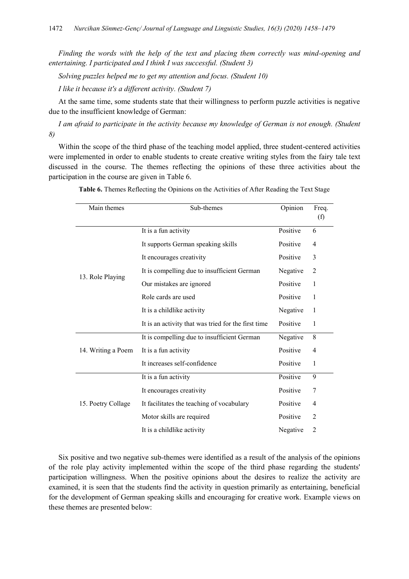*Finding the words with the help of the text and placing them correctly was mind-opening and entertaining. I participated and I think I was successful. (Student 3)*

*Solving puzzles helped me to get my attention and focus. (Student 10)*

*I like it because it's a different activity. (Student 7)*

At the same time, some students state that their willingness to perform puzzle activities is negative due to the insufficient knowledge of German:

*I am afraid to participate in the activity because my knowledge of German is not enough. (Student 8)*

Within the scope of the third phase of the teaching model applied, three student-centered activities were implemented in order to enable students to create creative writing styles from the fairy tale text discussed in the course. The themes reflecting the opinions of these three activities about the participation in the course are given in Table 6.

| Main themes        | Sub-themes                                          | Opinion  | Freq.<br>(f)   |
|--------------------|-----------------------------------------------------|----------|----------------|
|                    | It is a fun activity                                | Positive | 6              |
| 13. Role Playing   | It supports German speaking skills                  | Positive | 4              |
|                    | It encourages creativity                            | Positive | 3              |
|                    | It is compelling due to insufficient German         | Negative | 2              |
|                    | Our mistakes are ignored                            | Positive | 1              |
|                    | Role cards are used                                 | Positive | 1              |
|                    | It is a childlike activity                          | Negative | 1              |
|                    | It is an activity that was tried for the first time | Positive | 1              |
|                    | It is compelling due to insufficient German         | Negative | 8              |
| 14. Writing a Poem | It is a fun activity                                | Positive | 4              |
|                    | It increases self-confidence                        | Positive | 1              |
|                    | It is a fun activity                                | Positive | 9              |
|                    | It encourages creativity                            | Positive | 7              |
| 15. Poetry Collage | It facilitates the teaching of vocabulary           | Positive | 4              |
|                    | Motor skills are required                           | Positive | $\overline{2}$ |
|                    | It is a childlike activity                          | Negative | 2              |

**Table 6.** Themes Reflecting the Opinions on the Activities of After Reading the Text Stage

Six positive and two negative sub-themes were identified as a result of the analysis of the opinions of the role play activity implemented within the scope of the third phase regarding the students' participation willingness. When the positive opinions about the desires to realize the activity are examined, it is seen that the students find the activity in question primarily as entertaining, beneficial for the development of German speaking skills and encouraging for creative work. Example views on these themes are presented below: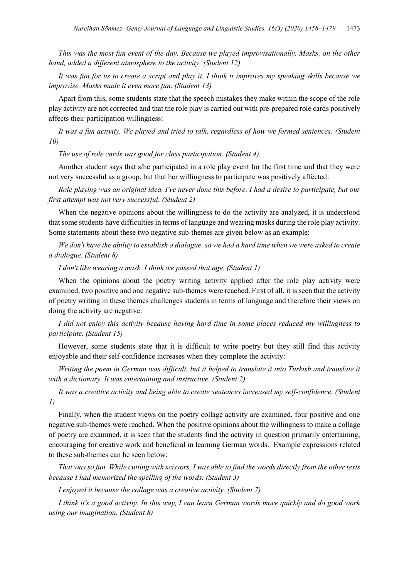*This was the most fun event of the day. Because we played improvisationally. Masks, on the other hand, added a different atmosphere to the activity. (Student 12)*

*It was fun for us to create a script and play it. I think it improves my speaking skills because we improvise. Masks made it even more fun. (Student 13)*

Apart from this, some students state that the speech mistakes they make within the scope of the role play activity are not corrected and that the role play is carried out with pre-prepared role cards positively affects their participation willingness:

*It was a fun activity. We played and tried to talk, regardless of how we formed sentences. (Student 10)*

*The use of role cards was good for class participation. (Student 4)*

Another student says that s/he participated in a role play event for the first time and that they were not very successful as a group, but that her willingness to participate was positively affected:

*Role playing was an original idea. I've never done this before. I had a desire to participate, but our first attempt was not very successful. (Student 2)*

When the negative opinions about the willingness to do the activity are analyzed, it is understood that some students have difficulties in terms of language and wearing masks during the role play activity. Some statements about these two negative sub-themes are given below as an example:

*We don't have the ability to establish a dialogue, so we had a hard time when we were asked to create a dialogue. (Student 8)*

*I don't like wearing a mask. I think we passed that age. (Student 1)*

When the opinions about the poetry writing activity applied after the role play activity were examined, two positive and one negative sub-themes were reached. First of all, it is seen that the activity of poetry writing in these themes challenges students in terms of language and therefore their views on doing the activity are negative:

*I did not enjoy this activity because having hard time in some places reduced my willingness to participate. (Student 15)*

However, some students state that it is difficult to write poetry but they still find this activity enjoyable and their self-confidence increases when they complete the activity:

*Writing the poem in German was difficult, but it helped to translate it into Turkish and translate it with a dictionary. It was entertaining and instructive. (Student 2)*

*It was a creative activity and being able to create sentences increased my self-confidence. (Student 1)*

Finally, when the student views on the poetry collage activity are examined, four positive and one negative sub-themes were reached. When the positive opinions about the willingness to make a collage of poetry are examined, it is seen that the students find the activity in question primarily entertaining, encouraging for creative work and beneficial in learning German words. Example expressions related to these sub-themes can be seen below:

*That was so fun. While cutting with scissors, I was able to find the words directly from the other texts because I had memorized the spelling of the words. (Student 3)*

*I enjoyed it because the collage was a creative activity. (Student 7)*

*I think it's a good activity. In this way, I can learn German words more quickly and do good work using our imagination. (Student 8)*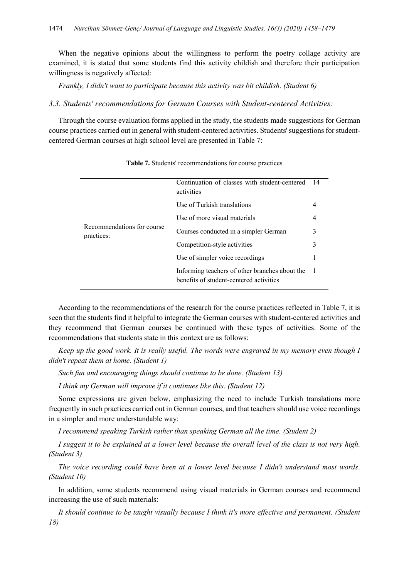When the negative opinions about the willingness to perform the poetry collage activity are examined, it is stated that some students find this activity childish and therefore their participation willingness is negatively affected:

*Frankly, I didn't want to participate because this activity was bit childish. (Student 6)*

#### *3.3. Students' recommendations for German Courses with Student-centered Activities:*

Through the course evaluation forms applied in the study, the students made suggestions for German course practices carried out in general with student-centered activities. Students' suggestions for studentcentered German courses at high school level are presented in Table 7:

| Recommendations for course<br>practices: | Continuation of classes with student-centered<br>activities                               | -14 |
|------------------------------------------|-------------------------------------------------------------------------------------------|-----|
|                                          | Use of Turkish translations                                                               | 4   |
|                                          | Use of more visual materials                                                              | 4   |
|                                          | Courses conducted in a simpler German                                                     | 3   |
|                                          | Competition-style activities                                                              | 3   |
|                                          | Use of simpler voice recordings                                                           | 1   |
|                                          | Informing teachers of other branches about the<br>benefits of student-centered activities |     |

**Table 7.** Students' recommendations for course practices

According to the recommendations of the research for the course practices reflected in Table 7, it is seen that the students find it helpful to integrate the German courses with student-centered activities and they recommend that German courses be continued with these types of activities. Some of the recommendations that students state in this context are as follows:

*Keep up the good work. It is really useful. The words were engraved in my memory even though I didn't repeat them at home. (Student 1)*

*Such fun and encouraging things should continue to be done. (Student 13)*

*I think my German will improve if it continues like this. (Student 12)*

Some expressions are given below, emphasizing the need to include Turkish translations more frequently in such practices carried out in German courses, and that teachers should use voice recordings in a simpler and more understandable way:

*I recommend speaking Turkish rather than speaking German all the time. (Student 2)*

*I suggest it to be explained at a lower level because the overall level of the class is not very high. (Student 3)*

*The voice recording could have been at a lower level because I didn't understand most words. (Student 10)*

In addition, some students recommend using visual materials in German courses and recommend increasing the use of such materials:

*It should continue to be taught visually because I think it's more effective and permanent. (Student 18)*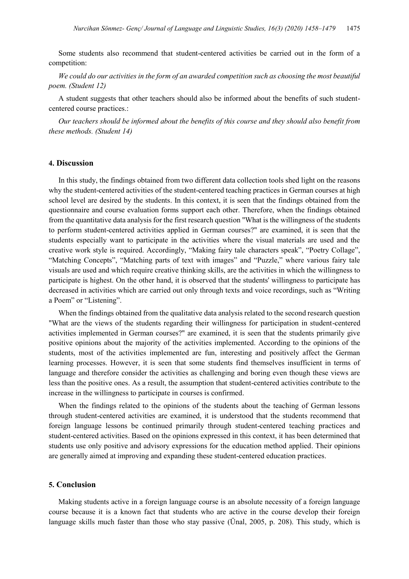Some students also recommend that student-centered activities be carried out in the form of a competition:

*We could do our activities in the form of an awarded competition such as choosing the most beautiful poem. (Student 12)*

A student suggests that other teachers should also be informed about the benefits of such studentcentered course practices.:

*Our teachers should be informed about the benefits of this course and they should also benefit from these methods. (Student 14)*

# **4. Discussion**

In this study, the findings obtained from two different data collection tools shed light on the reasons why the student-centered activities of the student-centered teaching practices in German courses at high school level are desired by the students. In this context, it is seen that the findings obtained from the questionnaire and course evaluation forms support each other. Therefore, when the findings obtained from the quantitative data analysis for the first research question "What is the willingness of the students to perform student-centered activities applied in German courses?" are examined, it is seen that the students especially want to participate in the activities where the visual materials are used and the creative work style is required. Accordingly, "Making fairy tale characters speak", "Poetry Collage", "Matching Concepts", "Matching parts of text with images" and "Puzzle," where various fairy tale visuals are used and which require creative thinking skills, are the activities in which the willingness to participate is highest. On the other hand, it is observed that the students' willingness to participate has decreased in activities which are carried out only through texts and voice recordings, such as "Writing a Poem" or "Listening".

When the findings obtained from the qualitative data analysis related to the second research question "What are the views of the students regarding their willingness for participation in student-centered activities implemented in German courses?" are examined, it is seen that the students primarily give positive opinions about the majority of the activities implemented. According to the opinions of the students, most of the activities implemented are fun, interesting and positively affect the German learning processes. However, it is seen that some students find themselves insufficient in terms of language and therefore consider the activities as challenging and boring even though these views are less than the positive ones. As a result, the assumption that student-centered activities contribute to the increase in the willingness to participate in courses is confirmed.

When the findings related to the opinions of the students about the teaching of German lessons through student-centered activities are examined, it is understood that the students recommend that foreign language lessons be continued primarily through student-centered teaching practices and student-centered activities. Based on the opinions expressed in this context, it has been determined that students use only positive and advisory expressions for the education method applied. Their opinions are generally aimed at improving and expanding these student-centered education practices.

#### **5. Conclusion**

Making students active in a foreign language course is an absolute necessity of a foreign language course because it is a known fact that students who are active in the course develop their foreign language skills much faster than those who stay passive (Ünal, 2005, p. 208). This study, which is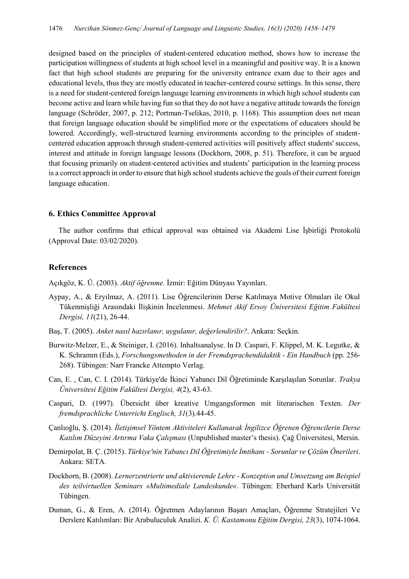designed based on the principles of student-centered education method, shows how to increase the participation willingness of students at high school level in a meaningful and positive way. It is a known fact that high school students are preparing for the university entrance exam due to their ages and educational levels, thus they are mostly educated in teacher-centered course settings. In this sense, there is a need for student-centered foreign language learning environments in which high school students can become active and learn while having fun so that they do not have a negative attitude towards the foreign language (Schröder, 2007, p. 212; Portman-Tselikas, 2010, p. 1168). This assumption does not mean that foreign language education should be simplified more or the expectations of educators should be lowered. Accordingly, well-structured learning environments according to the principles of studentcentered education approach through student-centered activities will positively affect students' success, interest and attitude in foreign language lessons (Dockhorn, 2008, p. 51). Therefore, it can be argued that focusing primarily on student-centered activities and students' participation in the learning process is a correct approach in order to ensure that high school students achieve the goals of their current foreign language education.

# **6. Ethics Committee Approval**

The author confirms that ethical approval was obtained via Akademi Lise İşbirliği Protokolü (Approval Date: 03/02/2020).

# **References**

Açıkgöz, K. Ü. (2003). *Aktif öğrenme.* İzmir: Eğitim Dünyası Yayınları.

- Aypay, A., & Eryılmaz, A. (2011). Lise Öğrencilerinin Derse Katılmaya Motive Olmaları ile Okul Tükenmişliği Arasındaki İlişkinin İncelenmesi. *Mehmet Akif Ersoy Üniversitesi Eğitim Fakültesi Dergisi, 11*(21), 26-44.
- Baş, T. (2005). *Anket nasıl hazırlanır, uygulanır, değerlendirilir?*. Ankara: Seçkin.
- Burwitz-Melzer, E., & Steiniger, I. (2016). Inhaltsanalyse. In D. Caspari, F. Klippel, M. K. Legutke, & K. Schramm (Eds.), *Forschungsmethoden in der Fremdsprachendidaktik - Ein Handbuch* (pp. 256- 268). Tübingen: Narr Francke Attempto Verlag.
- Can, E. , Can, C. I. (2014). Türkiye'de İkinci Yabancı Dil Öğretiminde Karşılaşılan Sorunlar. *Trakya Üniversitesi Eğitim Fakültesi Dergisi, 4*(2), 43-63.
- Caspari, D. (1997). Übersicht über kreative Umgangsformen mit literarischen Texten*. Der fremdsprachliche Unterricht Englisch, 31*(3)*.*44-45.
- Çanlıoğlu, Ş. (2014). *İletişimsel Yöntem Aktiviteleri Kullanarak İngilizce Öğrenen Öğrencilerin Derse Katılım Düzeyini Artırma Vaka Çalışması* (Unpublished master's thesis). Çağ Üniversitesi, Mersin.
- Demirpolat, B. Ç. (2015). *Türkiye'nin Yabancı Dil Öğretimiyle İmtihanı - Sorunlar ve Çözüm Önerileri*. Ankara: SETA*.*
- Dockhorn, B. (2008). *Lernerzentrierte und aktivierende Lehre - Konzeption und Umsetzung am Beispiel des teilvirtuellen Seminars »Multimediale Landeskunde«*. Tübingen: Eberhard Karls Universität Tübingen.
- Duman, G., & Eren, A. (2014). Öğretmen Adaylarının Başarı Amaçları, Öğrenme Stratejileri Ve Derslere Katılımları: Bir Arabuluculuk Analizi. *K. Ü. Kastamonu Eğitim Dergisi, 23*(3), 1074-1064.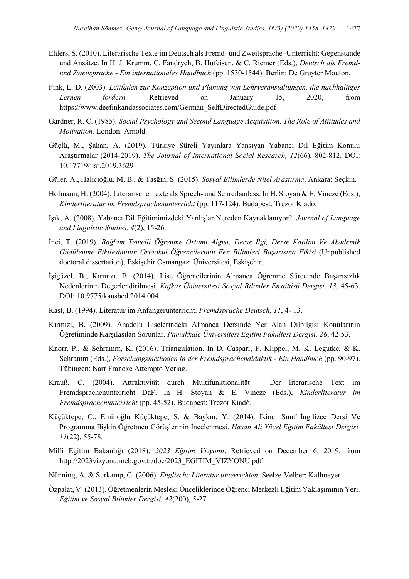- Ehlers, S. (2010). Literarische Texte im Deutsch als Fremd- und Zweitsprache -Unterricht: Gegenstände und Ansätze. In H. J. Krumm, C. Fandrych, B. Hufeisen, & C. Riemer (Eds.), *Deutsch als Fremdund Zweitsprache - Ein internationales Handbuch* (pp. 1530-1544). Berlin: De Gruyter Mouton.
- Fink, L. D. (2003). *Leitfaden zur Konzeption und Planung von Lehrveranstaltungen, die nachhaltiges Lernen fördern.* Retrieved on January 15, 2020, from [https://www.deefinkandassociates.com/German\\_SelfDirectedGuide.pdf](https://www.deefinkandassociates.com/German_SelfDirectedGuide.pdf)
- Gardner, R. C. (1985). *Social Psychology and Second Language Acquisition. The Role of Attitudes and Motivation.* London: Arnold.
- Güçlü, M., Şahan, A. (2019). Türkiye Süreli Yayınlara Yansıyan Yabancı Dil Eğitim Konulu Araştırmalar (2014-2019). *The Journal of International Social Research, 12*(66), 802-812. DOI: 10.17719/jisr.2019.3629
- Güler, A., Halıcıoğlu, M. B., & Taşğın, S. (2015). *Sosyal Bilimlerde Nitel Araştırma*. Ankara: Seçkin.
- Hofmann, H. (2004). Literarische Texte als Sprech- und Schreibanlass. In H. Stoyan & E. Vincze (Eds.), *Kinderliteratur im Fremdsprachenunterricht* (pp. 117-124). Budapest: Trezor Kiadó.
- Işık, A. (2008). Yabancı Dil Eğitimimizdeki Yanlışlar Nereden Kaynaklanıyor?. *Journal of Language and Linguistic Studies, 4*(2), 15-26.
- İnci, T. (2019). *Bağlam Temelli Öğrenme Ortamı Algısı, Derse İlgi, Derse Katilim Ve Akademik Güdülenme Etkileşiminin Ortaokul Öğrencilerinin Fen Bilimleri Başarısına Etkisi* (Unpublished doctoral dissertation). Eskişehir Osmangazi Üniversitesi, Eskişehir.
- İşigüzel, B., Kırmızı, B. (2014). Lise Öğrencilerinin Almanca Öğrenme Sürecinde Başarısızlık Nedenlerinin Değerlendirilmesi. *Kafkas Üniversitesi Sosyal Bilimler Enstitüsü Dergisi, 13*, 45-63. DOI: 10.9775/kausbed.2014.004
- Kast, B. (1994). Literatur im Anfängerunterricht. *Fremdsprache Deutsch, 11*, 4- 13.
- Kırmızı, B. (2009). Anadolu Liselerindeki Almanca Dersinde Yer Alan Dilbilgisi Konularının Öğretiminde Karşılaşılan Sorunlar. *Pamukkale Üniversitesi Eğitim Fakültesi Dergisi, 26*, 42-53.
- Knorr, P., & Schramm, K. (2016). Triangulation. In D. Caspari, F. Klippel, M. K. Legutke, & K. Schramm (Eds.), *Forschungsmethoden in der Fremdsprachendidaktik - Ein Handbuch* (pp. 90-97). Tübingen: Narr Francke Attempto Verlag.
- Krauß, C. (2004). Attraktivität durch Multifunktionalität Der literarische Text im Fremdsprachenunterricht DaF. In H. Stoyan & E. Vincze (Eds.), *Kinderliteratur im Fremdsprachenunterricht* (pp. 45-52). Budapest: Trezor Kiadó.
- Küçüktepe, C., Eminoğlu Küçüktepe, S. & Baykın, Y. (2014). İkinci Sınıf İngilizce Dersi Ve Programına İlişkin Öğretmen Görüşlerinin İncelenmesi. *Hasan Ali Yücel Eğitim Fakültesi Dergisi, 11*(22), 55-78.
- Milli Eğitim Bakanlığı (2018). *2023 Eğitim Vizyonu*. Retrieved on December 6, 2019, from [http://2023vizyonu.meb.gov.tr/doc/2023\\_EGITIM\\_VIZYONU.pdf](http://2023vizyonu.meb.gov.tr/doc/2023_EGITIM_VIZYONU.pdf)
- Nünning, A. & Surkamp, C. (2006). *Englische Literatur unterrichten.* Seelze-Velber: Kallmeyer*.*
- Özpalat, V. (2013). Öğretmenlerin Mesleki Önceliklerinde Öğrenci Merkezli Eğitim Yaklaşımının Yeri. *Eğitim ve Sosyal Bilimler Dergisi, 42*(200), 5-27.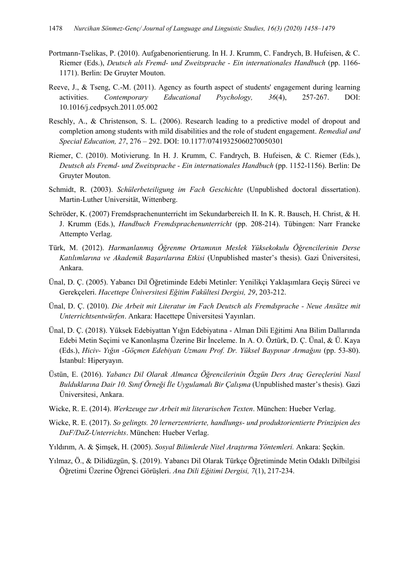- Portmann-Tselikas, P. (2010). Aufgabenorientierung. In H. J. Krumm, C. Fandrych, B. Hufeisen, & C. Riemer (Eds.), *Deutsch als Fremd- und Zweitsprache - Ein internationales Handbuch* (pp. 1166- 1171). Berlin: De Gruyter Mouton.
- Reeve, J., & Tseng, C.-M. (2011). Agency as fourth aspect of students' engagement during learning activities. *Contemporary Educational Psychology, 36*(4), 257-267. DOI: 10.1016/j.cedpsych.2011.05.002
- Reschly, A., & Christenson, S. L. (2006). Research leading to a predictive model of dropout and completion among students with mild disabilities and the role of student engagement. *Remedial and Special Education, 27*, 276 – 292. DOI: 10.1177/07419325060270050301
- Riemer, C. (2010). Motivierung. In H. J. Krumm, C. Fandrych, B. Hufeisen, & C. Riemer (Eds.), *Deutsch als Fremd- und Zweitsprache - Ein internationales Handbuch* (pp. 1152-1156). Berlin: De Gruyter Mouton.
- Schmidt, R. (2003). *Schülerbeteiligung im Fach Geschichte* (Unpublished doctoral dissertation). Martin-Luther Universität, Wittenberg.
- Schröder, K. (2007) Fremdsprachenunterricht im Sekundarbereich II. In K. R. Bausch, H. Christ, & H. J. Krumm (Eds.), *Handbuch Fremdsprachenunterricht* (pp. 208-214). Tübingen: Narr Francke Attempto Verlag.
- Türk, M. (2012). *Harmanlanmış Öğrenme Ortamının Meslek Yüksekokulu Öğrencilerinin Derse Katılımlarına ve Akademik Başarılarına Etkisi* (Unpublished master's thesis). Gazi Üniversitesi, Ankara.
- Ünal, D. Ç. (2005). Yabancı Dil Öğretiminde Edebi Metinler: Yenilikçi Yaklaşımlara Geçiş Süreci ve Gerekçeleri. *Hacettepe Üniversitesi Eğitim Fakültesi Dergisi, 29*, 203-212.
- Ünal, D. Ç. (2010). *Die Arbeit mit Literatur im Fach Deutsch als Fremdsprache - Neue Ansätze mit Unterrichtsentwürfen*. Ankara: Hacettepe Üniversitesi Yayınları.
- Ünal, D. Ç. (2018). Yüksek Edebiyattan Yığın Edebiyatına Alman Dili Eğitimi Ana Bilim Dallarında Edebi Metin Seçimi ve Kanonlaşma Üzerine Bir İnceleme. In A. O. Öztürk, D. Ç. Ünal, & Ü. Kaya (Eds.), *Hiciv- Yığın -Göçmen Edebiyatı Uzmanı Prof. Dr. Yüksel Baypınar Armağını* (pp. 53-80). İstanbul: Hiperyayın.
- Üstün, E. (2016). *Yabancı Dil Olarak Almanca Öğrencilerinin Özgün Ders Araç Gereçlerini Nasıl Bulduklarına Dair 10. Sınıf Örneği İle Uygulamalı Bir Çalışma* (Unpublished master's thesis)*.* Gazi Üniversitesi, Ankara.
- Wicke, R. E. (2014). *Werkzeuge zur Arbeit mit literarischen Texten*. München: Hueber Verlag.
- Wicke, R. E. (2017). *So gelingts. 20 lernerzentrierte, handlungs- und produktorientierte Prinzipien des DaF/DaZ-Unterrichts*. München: Hueber Verlag.
- Yıldırım, A. & Şimşek, H. (2005). *Sosyal Bilimlerde Nitel Araştırma Yöntemleri.* Ankara: Şeçkin.
- Yılmaz, Ö., & Dilidüzgün, Ş. (2019). Yabancı Dil Olarak Türkçe Öğretiminde Metin Odaklı Dilbilgisi Öğretimi Üzerine Öğrenci Görüşleri. *Ana Dili Eğitimi Dergisi, 7*(1), 217-234.